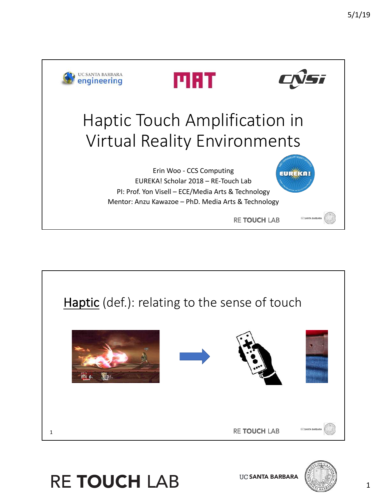





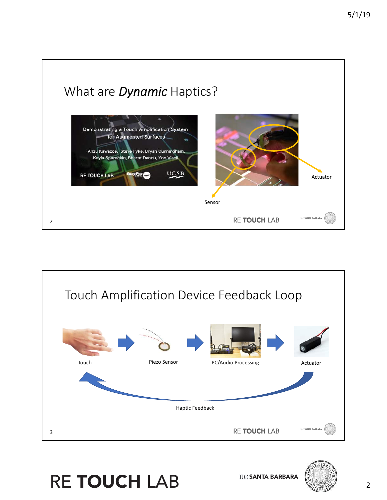

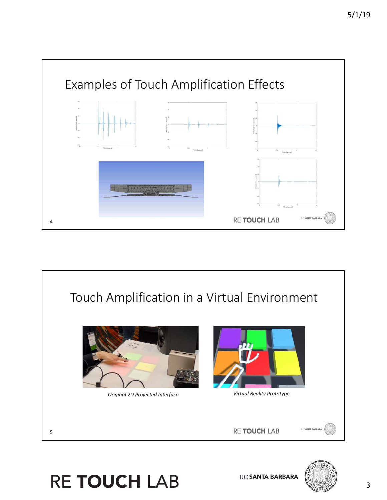



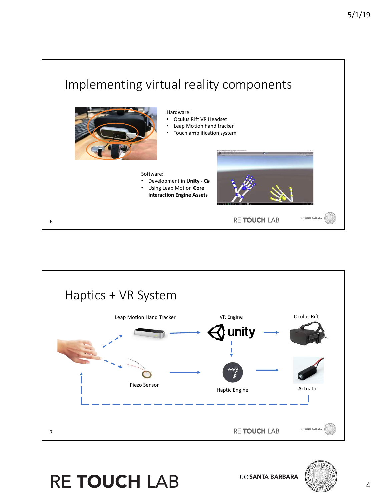



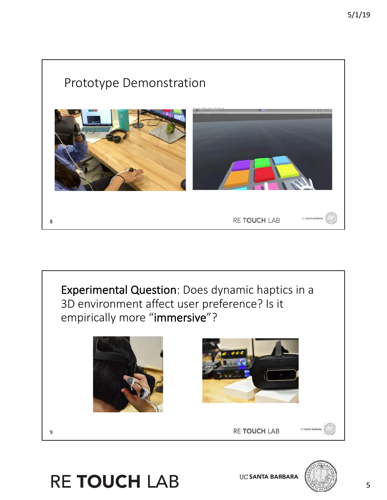## Prototype Demonstration RE TOUCH LAB 8





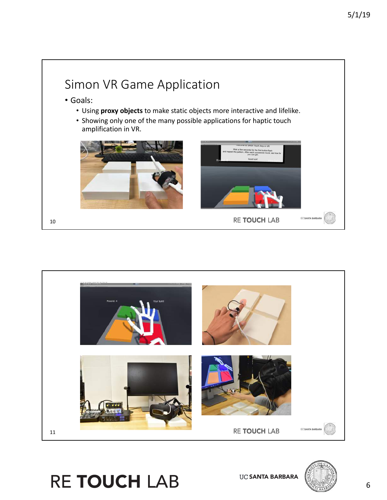

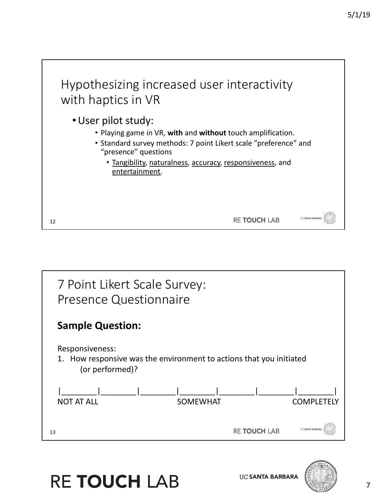